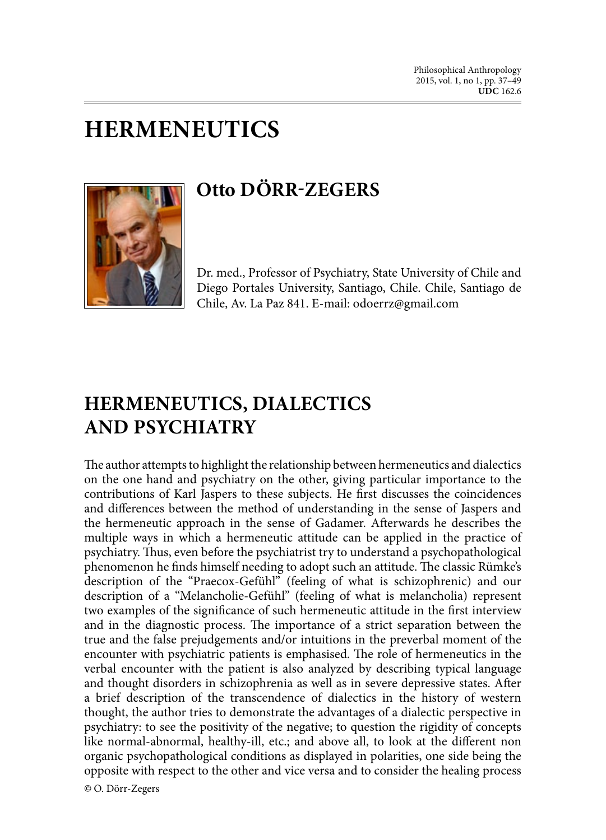# **HERMENEUTICS**



## **Otto DÖRR-ZEGERS**

Dr. med., Professor of Psychiatry, State University of Chile and Diego Portales University, Santiago, Chile. Chile, Santiago de Chile, Av. La Paz 841. E-mail: odoerrz@gmail.com

### **HERMENEUTICS, DIALECTICS AND PSYCHIATRY**

The author attempts to highlight the relationship between hermeneutics and dialectics on the one hand and psychiatry on the other, giving particular importance to the contributions of Karl Jaspers to these subjects. He first discusses the coincidences and differences between the method of understanding in the sense of Jaspers and the hermeneutic approach in the sense of Gadamer. Afterwards he describes the multiple ways in which a hermeneutic attitude can be applied in the practice of psychiatry. Thus, even before the psychiatrist try to understand a psychopathological phenomenon he finds himself needing to adopt such an attitude. The classic Rümke's description of the "Praecox-Gefühl" (feeling of what is schizophrenic) and our description of a "Melancholie-Gefühl" (feeling of what is melancholia) represent two examples of the significance of such hermeneutic attitude in the first interview and in the diagnostic process. The importance of a strict separation between the true and the false prejudgements and/or intuitions in the preverbal moment of the encounter with psychiatric patients is emphasised. The role of hermeneutics in the verbal encounter with the patient is also analyzed by describing typical language and thought disorders in schizophrenia as well as in severe depressive states. After a brief description of the transcendence of dialectics in the history of western thought, the author tries to demonstrate the advantages of a dialectic perspective in psychiatry: to see the positivity of the negative; to question the rigidity of concepts like normal-abnormal, healthy-ill, etc.; and above all, to look at the different non organic psychopathological conditions as displayed in polarities, one side being the opposite with respect to the other and vice versa and to consider the healing process **©** O. Dörr-Zegers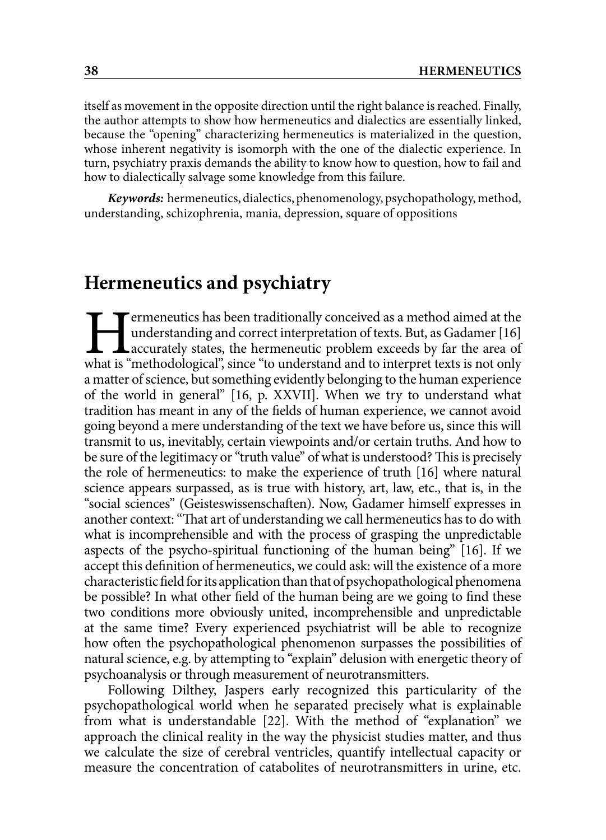itself as movement in the opposite direction until the right balance is reached. Finally, the author attempts to show how hermeneutics and dialectics are essentially linked, because the "opening" characterizing hermeneutics is materialized in the question, whose inherent negativity is isomorph with the one of the dialectic experience. In turn, psychiatry praxis demands the ability to know how to question, how to fail and how to dialectically salvage some knowledge from this failure.

*Keywords:* hermeneutics, dialectics, phenomenology, psychopathology, method, understanding, schizophrenia, mania, depression, square of oppositions

#### **Hermeneutics and psychiatry**

**Example 12** Termeneutics has been traditionally conceived as a method aimed at the understanding and correct interpretation of texts. But, as Gadamer [16] accurately states, the hermeneutic problem exceeds by far the area understanding and correct interpretation of texts. But, as Gadamer [16] accurately states, the hermeneutic problem exceeds by far the area of a matter of science, but something evidently belonging to the human experience of the world in general" [16, p. XXVII]. When we try to understand what tradition has meant in any of the fields of human experience, we cannot avoid going beyond a mere understanding of the text we have before us, since this will transmit to us, inevitably, certain viewpoints and/or certain truths. And how to be sure of the legitimacy or "truth value" of what is understood? This is precisely the role of hermeneutics: to make the experience of truth [16] where natural science appears surpassed, as is true with history, art, law, etc., that is, in the "social sciences" (Geisteswissenschaften). Now, Gadamer himself expresses in another context: "That art of understanding we call hermeneutics has to do with what is incomprehensible and with the process of grasping the unpredictable aspects of the psycho-spiritual functioning of the human being" [16]. If we accept this definition of hermeneutics, we could ask: will the existence of a more characteristic field for its application than that of psychopathological phenomena be possible? In what other field of the human being are we going to find these two conditions more obviously united, incomprehensible and unpredictable at the same time? Every experienced psychiatrist will be able to recognize how often the psychopathological phenomenon surpasses the possibilities of natural science, e.g. by attempting to "explain" delusion with energetic theory of psychoanalysis or through measurement of neurotransmitters.

Following Dilthey, Jaspers early recognized this particularity of the psychopathological world when he separated precisely what is explainable from what is understandable [22]. With the method of "explanation" we approach the clinical reality in the way the physicist studies matter, and thus we calculate the size of cerebral ventricles, quantify intellectual capacity or measure the concentration of catabolites of neurotransmitters in urine, etc.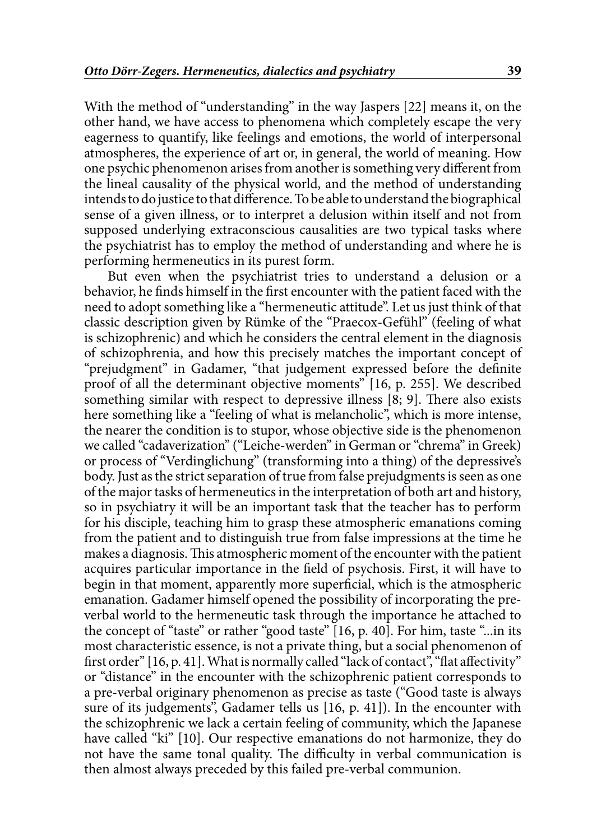With the method of "understanding" in the way Jaspers [22] means it, on the other hand, we have access to phenomena which completely escape the very eagerness to quantify, like feelings and emotions, the world of interpersonal atmospheres, the experience of art or, in general, the world of meaning. How one psychic phenomenon arises from another is something very different from the lineal causality of the physical world, and the method of understanding intends to do justice to that difference. To be able to understand the biographical sense of a given illness, or to interpret a delusion within itself and not from supposed underlying extraconscious causalities are two typical tasks where the psychiatrist has to employ the method of understanding and where he is performing hermeneutics in its purest form.

But even when the psychiatrist tries to understand a delusion or a behavior, he finds himself in the first encounter with the patient faced with the need to adopt something like a "hermeneutic attitude". Let us just think of that classic description given by Rümke of the "Praecox-Gefühl" (feeling of what is schizophrenic) and which he considers the central element in the diagnosis of schizophrenia, and how this precisely matches the important concept of "prejudgment" in Gadamer, "that judgement expressed before the definite proof of all the determinant objective moments" [16, p. 255]. We described something similar with respect to depressive illness [8; 9]. There also exists here something like a "feeling of what is melancholic", which is more intense, the nearer the condition is to stupor, whose objective side is the phenomenon we called "cadaverization" ("Leiche-werden" in German or "chrema" in Greek) or process of "Verdinglichung" (transforming into a thing) of the depressive's body. Just as the strict separation of true from false prejudgments is seen as one of the major tasks of hermeneutics in the interpretation of both art and history, so in psychiatry it will be an important task that the teacher has to perform for his disciple, teaching him to grasp these atmospheric emanations coming from the patient and to distinguish true from false impressions at the time he makes a diagnosis. This atmospheric moment of the encounter with the patient acquires particular importance in the field of psychosis. First, it will have to begin in that moment, apparently more superficial, which is the atmospheric emanation. Gadamer himself opened the possibility of incorporating the preverbal world to the hermeneutic task through the importance he attached to the concept of "taste" or rather "good taste" [16, p. 40]. For him, taste "...in its most characteristic essence, is not a private thing, but a social phenomenon of first order" [16, p. 41]. What is normally called "lack of contact", "flat affectivity" or "distance" in the encounter with the schizophrenic patient corresponds to a pre-verbal originary phenomenon as precise as taste ("Good taste is always sure of its judgements", Gadamer tells us [16, p. 41]). In the encounter with the schizophrenic we lack a certain feeling of community, which the Japanese have called "ki" [10]. Our respective emanations do not harmonize, they do not have the same tonal quality. The difficulty in verbal communication is then almost always preceded by this failed pre-verbal communion.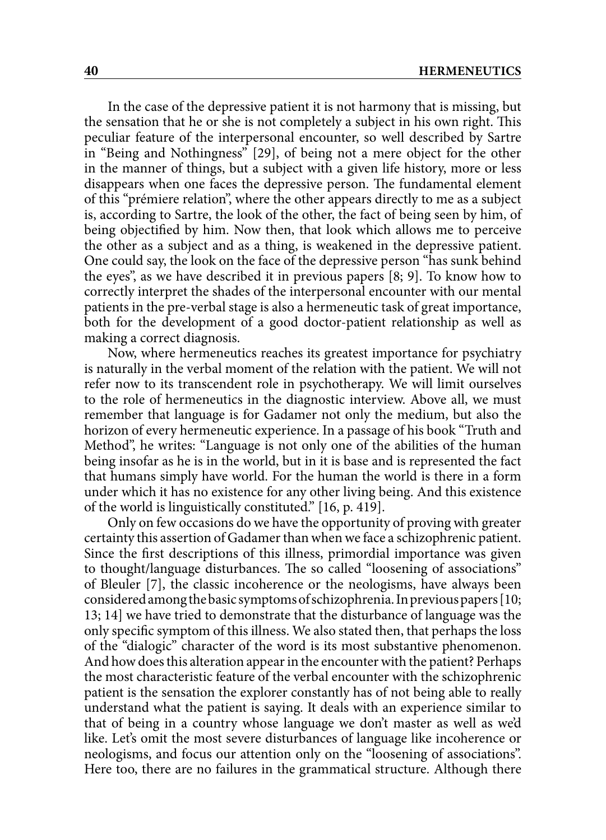In the case of the depressive patient it is not harmony that is missing, but the sensation that he or she is not completely a subject in his own right. This peculiar feature of the interpersonal encounter, so well described by Sartre in "Being and Nothingness" [29], of being not a mere object for the other in the manner of things, but a subject with a given life history, more or less disappears when one faces the depressive person. The fundamental element of this "prémiere relation", where the other appears directly to me as a subject is, according to Sartre, the look of the other, the fact of being seen by him, of being objectified by him. Now then, that look which allows me to perceive the other as a subject and as a thing, is weakened in the depressive patient. One could say, the look on the face of the depressive person "has sunk behind the eyes", as we have described it in previous papers [8; 9]. To know how to correctly interpret the shades of the interpersonal encounter with our mental patients in the pre-verbal stage is also a hermeneutic task of great importance, both for the development of a good doctor-patient relationship as well as making a correct diagnosis.

Now, where hermeneutics reaches its greatest importance for psychiatry is naturally in the verbal moment of the relation with the patient. We will not refer now to its transcendent role in psychotherapy. We will limit ourselves to the role of hermeneutics in the diagnostic interview. Above all, we must remember that language is for Gadamer not only the medium, but also the horizon of every hermeneutic experience. In a passage of his book "Truth and Method", he writes: "Language is not only one of the abilities of the human being insofar as he is in the world, but in it is base and is represented the fact that humans simply have world. For the human the world is there in a form under which it has no existence for any other living being. And this existence of the world is linguistically constituted." [16, p. 419].

Only on few occasions do we have the opportunity of proving with greater certainty this assertion of Gadamer than when we face a schizophrenic patient. Since the first descriptions of this illness, primordial importance was given to thought/language disturbances. The so called "loosening of associations" of Bleuler [7], the classic incoherence or the neologisms, have always been considered among the basic symptoms of schizophrenia. In previous papers [10; 13; 14] we have tried to demonstrate that the disturbance of language was the only specific symptom of this illness. We also stated then, that perhaps the loss of the "dialogic" character of the word is its most substantive phenomenon. And how does this alteration appear in the encounter with the patient? Perhaps the most characteristic feature of the verbal encounter with the schizophrenic patient is the sensation the explorer constantly has of not being able to really understand what the patient is saying. It deals with an experience similar to that of being in a country whose language we don't master as well as we'd like. Let's omit the most severe disturbances of language like incoherence or neologisms, and focus our attention only on the "loosening of associations". Here too, there are no failures in the grammatical structure. Although there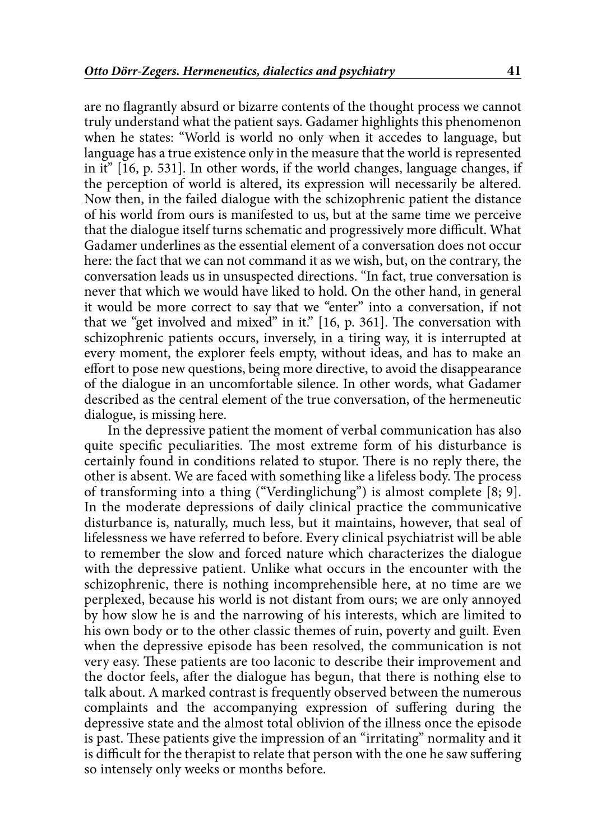are no flagrantly absurd or bizarre contents of the thought process we cannot truly understand what the patient says. Gadamer highlights this phenomenon when he states: "World is world no only when it accedes to language, but language has a true existence only in the measure that the world is represented in it" [16, p. 531]. In other words, if the world changes, language changes, if the perception of world is altered, its expression will necessarily be altered. Now then, in the failed dialogue with the schizophrenic patient the distance of his world from ours is manifested to us, but at the same time we perceive that the dialogue itself turns schematic and progressively more difficult. What Gadamer underlines as the essential element of a conversation does not occur here: the fact that we can not command it as we wish, but, on the contrary, the conversation leads us in unsuspected directions. "In fact, true conversation is never that which we would have liked to hold. On the other hand, in general it would be more correct to say that we "enter" into a conversation, if not that we "get involved and mixed" in it." [16, p. 361]. The conversation with schizophrenic patients occurs, inversely, in a tiring way, it is interrupted at every moment, the explorer feels empty, without ideas, and has to make an effort to pose new questions, being more directive, to avoid the disappearance of the dialogue in an uncomfortable silence. In other words, what Gadamer described as the central element of the true conversation, of the hermeneutic dialogue, is missing here.

In the depressive patient the moment of verbal communication has also quite specific peculiarities. The most extreme form of his disturbance is certainly found in conditions related to stupor. There is no reply there, the other is absent. We are faced with something like a lifeless body. The process of transforming into a thing ("Verdinglichung") is almost complete [8; 9]. In the moderate depressions of daily clinical practice the communicative disturbance is, naturally, much less, but it maintains, however, that seal of lifelessness we have referred to before. Every clinical psychiatrist will be able to remember the slow and forced nature which characterizes the dialogue with the depressive patient. Unlike what occurs in the encounter with the schizophrenic, there is nothing incomprehensible here, at no time are we perplexed, because his world is not distant from ours; we are only annoyed by how slow he is and the narrowing of his interests, which are limited to his own body or to the other classic themes of ruin, poverty and guilt. Even when the depressive episode has been resolved, the communication is not very easy. These patients are too laconic to describe their improvement and the doctor feels, after the dialogue has begun, that there is nothing else to talk about. A marked contrast is frequently observed between the numerous complaints and the accompanying expression of suffering during the depressive state and the almost total oblivion of the illness once the episode is past. These patients give the impression of an "irritating" normality and it is difficult for the therapist to relate that person with the one he saw suffering so intensely only weeks or months before.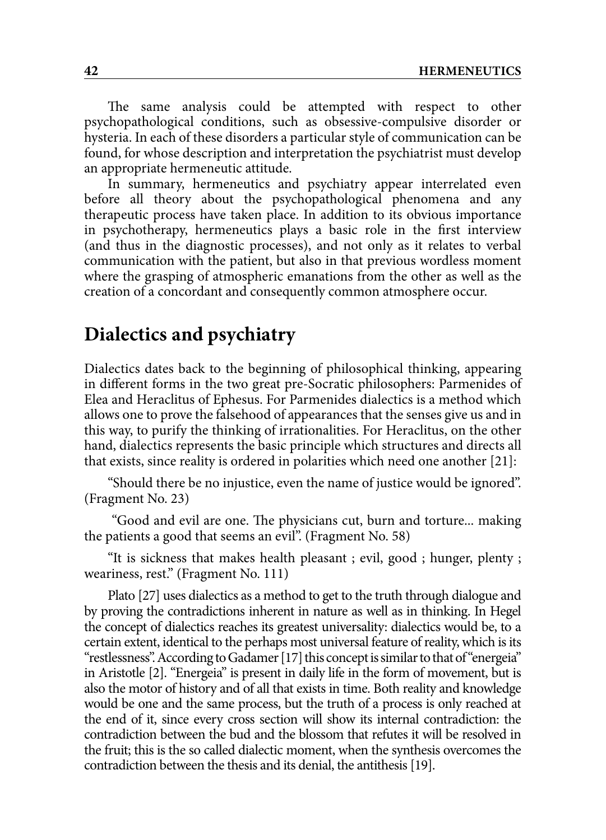The same analysis could be attempted with respect to other psychopathological conditions, such as obsessive-compulsive disorder or hysteria. In each of these disorders a particular style of communication can be found, for whose description and interpretation the psychiatrist must develop an appropriate hermeneutic attitude.

In summary, hermeneutics and psychiatry appear interrelated even before all theory about the psychopathological phenomena and any therapeutic process have taken place. In addition to its obvious importance in psychotherapy, hermeneutics plays a basic role in the first interview (and thus in the diagnostic processes), and not only as it relates to verbal communication with the patient, but also in that previous wordless moment where the grasping of atmospheric emanations from the other as well as the creation of a concordant and consequently common atmosphere occur.

### **Dialectics and psychiatry**

Dialectics dates back to the beginning of philosophical thinking, appearing in different forms in the two great pre-Socratic philosophers: Parmenides of Elea and Heraclitus of Ephesus. For Parmenides dialectics is a method which allows one to prove the falsehood of appearances that the senses give us and in this way, to purify the thinking of irrationalities. For Heraclitus, on the other hand, dialectics represents the basic principle which structures and directs all that exists, since reality is ordered in polarities which need one another [21]:

"Should there be no injustice, even the name of justice would be ignored". (Fragment No. 23)

 "Good and evil are one. The physicians cut, burn and torture... making the patients a good that seems an evil". (Fragment No. 58)

"It is sickness that makes health pleasant ; evil, good ; hunger, plenty ; weariness, rest." (Fragment No. 111)

Plato [27] uses dialectics as a method to get to the truth through dialogue and by proving the contradictions inherent in nature as well as in thinking. In Hegel the concept of dialectics reaches its greatest universality: dialectics would be, to a certain extent, identical to the perhaps most universal feature of reality, which is its "restlessness". According to Gadamer [17] this concept is similar to that of "energeia" in Aristotle [2]. "Energeia" is present in daily life in the form of movement, but is also the motor of history and of all that exists in time. Both reality and knowledge would be one and the same process, but the truth of a process is only reached at the end of it, since every cross section will show its internal contradiction: the contradiction between the bud and the blossom that refutes it will be resolved in the fruit; this is the so called dialectic moment, when the synthesis overcomes the contradiction between the thesis and its denial, the antithesis [19].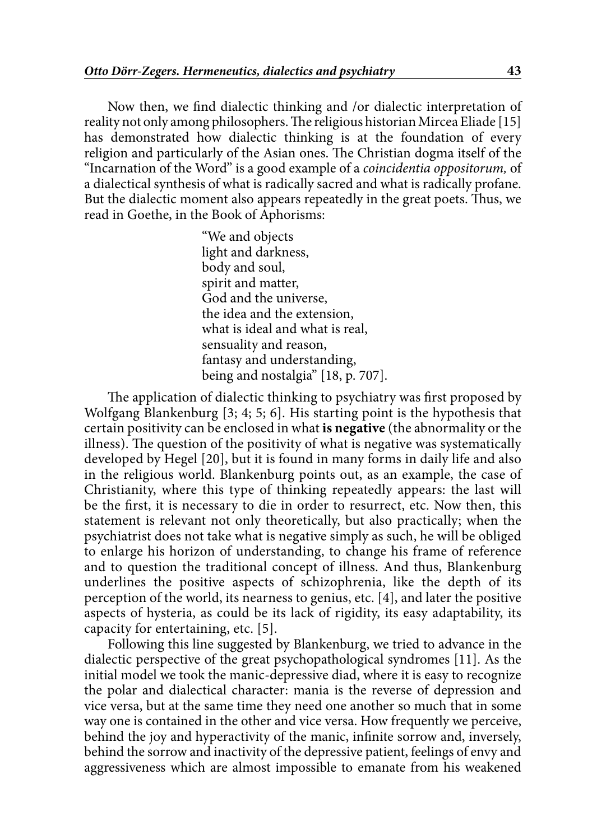Now then, we find dialectic thinking and /or dialectic interpretation of reality not only among philosophers. The religious historian Mircea Eliade [15] has demonstrated how dialectic thinking is at the foundation of every religion and particularly of the Asian ones. The Christian dogma itself of the "Incarnation of the Word" is a good example of a *coincidentia oppositorum,* of a dialectical synthesis of what is radically sacred and what is radically profane. But the dialectic moment also appears repeatedly in the great poets. Thus, we read in Goethe, in the Book of Aphorisms:

> "We and objects light and darkness, body and soul, spirit and matter, God and the universe, the idea and the extension, what is ideal and what is real, sensuality and reason, fantasy and understanding, being and nostalgia" [18, p. 707].

The application of dialectic thinking to psychiatry was first proposed by Wolfgang Blankenburg [3; 4; 5; 6]. His starting point is the hypothesis that certain positivity can be enclosed in what **is negative** (the abnormality or the illness). The question of the positivity of what is negative was systematically developed by Hegel [20], but it is found in many forms in daily life and also in the religious world. Blankenburg points out, as an example, the case of Christianity, where this type of thinking repeatedly appears: the last will be the first, it is necessary to die in order to resurrect, etc. Now then, this statement is relevant not only theoretically, but also practically; when the psychiatrist does not take what is negative simply as such, he will be obliged to enlarge his horizon of understanding, to change his frame of reference and to question the traditional concept of illness. And thus, Blankenburg underlines the positive aspects of schizophrenia, like the depth of its perception of the world, its nearness to genius, etc. [4], and later the positive aspects of hysteria, as could be its lack of rigidity, its easy adaptability, its capacity for entertaining, etc. [5].

Following this line suggested by Blankenburg, we tried to advance in the dialectic perspective of the great psychopathological syndromes [11]. As the initial model we took the manic-depressive diad, where it is easy to recognize the polar and dialectical character: mania is the reverse of depression and vice versa, but at the same time they need one another so much that in some way one is contained in the other and vice versa. How frequently we perceive, behind the joy and hyperactivity of the manic, infinite sorrow and, inversely, behind the sorrow and inactivity of the depressive patient, feelings of envy and aggressiveness which are almost impossible to emanate from his weakened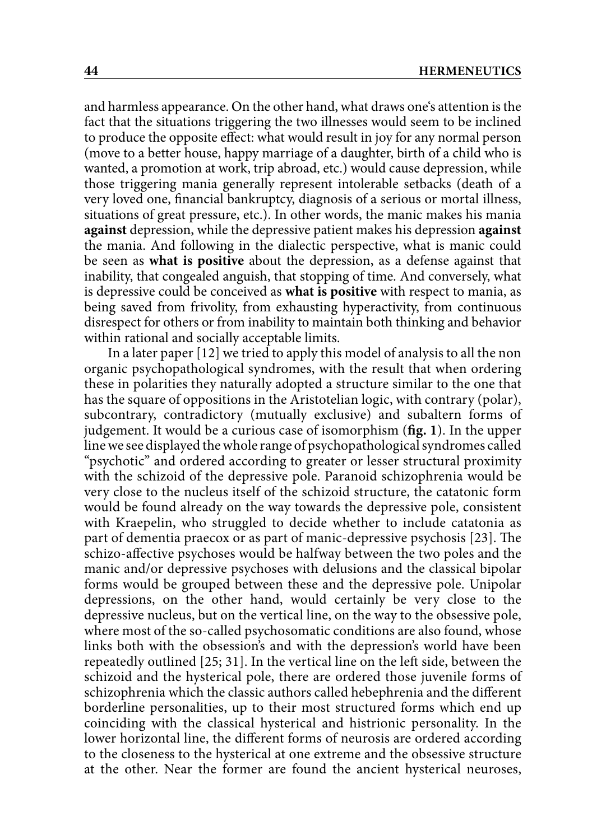and harmless appearance. On the other hand, what draws one's attention is the fact that the situations triggering the two illnesses would seem to be inclined to produce the opposite effect: what would result in joy for any normal person (move to a better house, happy marriage of a daughter, birth of a child who is wanted, a promotion at work, trip abroad, etc.) would cause depression, while those triggering mania generally represent intolerable setbacks (death of a very loved one, financial bankruptcy, diagnosis of a serious or mortal illness, situations of great pressure, etc.). In other words, the manic makes his mania **against** depression, while the depressive patient makes his depression **against** the mania. And following in the dialectic perspective, what is manic could be seen as **what is positive** about the depression, as a defense against that inability, that congealed anguish, that stopping of time. And conversely, what is depressive could be conceived as **what is positive** with respect to mania, as being saved from frivolity, from exhausting hyperactivity, from continuous disrespect for others or from inability to maintain both thinking and behavior within rational and socially acceptable limits.

In a later paper [12] we tried to apply this model of analysis to all the non organic psychopathological syndromes, with the result that when ordering these in polarities they naturally adopted a structure similar to the one that has the square of oppositions in the Aristotelian logic, with contrary (polar), subcontrary, contradictory (mutually exclusive) and subaltern forms of judgement. It would be a curious case of isomorphism (**fig. 1**). In the upper line we see displayed the whole range of psychopathological syndromes called "psychotic" and ordered according to greater or lesser structural proximity with the schizoid of the depressive pole. Paranoid schizophrenia would be very close to the nucleus itself of the schizoid structure, the catatonic form would be found already on the way towards the depressive pole, consistent with Kraepelin, who struggled to decide whether to include catatonia as part of dementia praecox or as part of manic-depressive psychosis [23]. The schizo-affective psychoses would be halfway between the two poles and the manic and/or depressive psychoses with delusions and the classical bipolar forms would be grouped between these and the depressive pole. Unipolar depressions, on the other hand, would certainly be very close to the depressive nucleus, but on the vertical line, on the way to the obsessive pole, where most of the so-called psychosomatic conditions are also found, whose links both with the obsession's and with the depression's world have been repeatedly outlined [25; 31]. In the vertical line on the left side, between the schizoid and the hysterical pole, there are ordered those juvenile forms of schizophrenia which the classic authors called hebephrenia and the different borderline personalities, up to their most structured forms which end up coinciding with the classical hysterical and histrionic personality. In the lower horizontal line, the different forms of neurosis are ordered according to the closeness to the hysterical at one extreme and the obsessive structure at the other. Near the former are found the ancient hysterical neuroses,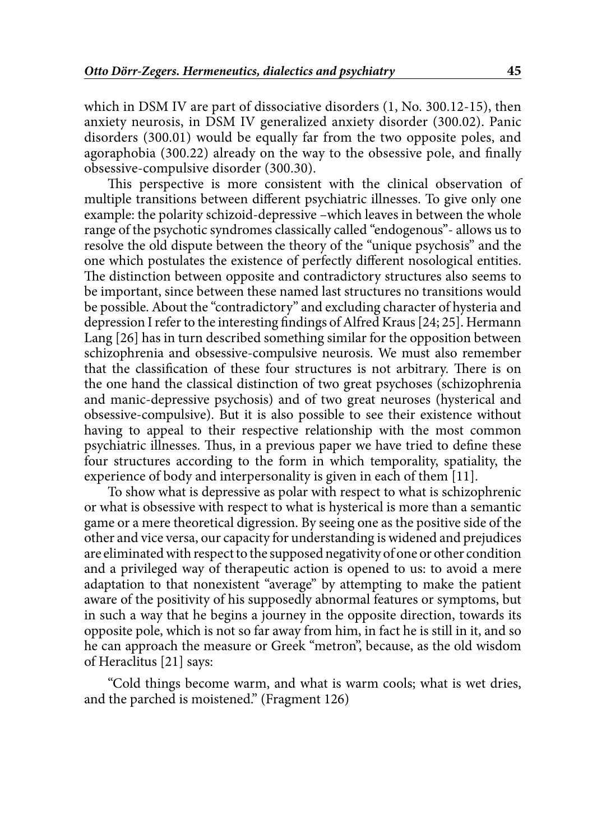which in DSM IV are part of dissociative disorders (1, No. 300.12-15), then anxiety neurosis, in DSM IV generalized anxiety disorder (300.02). Panic disorders (300.01) would be equally far from the two opposite poles, and agoraphobia (300.22) already on the way to the obsessive pole, and finally obsessive-compulsive disorder (300.30).

This perspective is more consistent with the clinical observation of multiple transitions between different psychiatric illnesses. To give only one example: the polarity schizoid-depressive –which leaves in between the whole range of the psychotic syndromes classically called "endogenous"- allows us to resolve the old dispute between the theory of the "unique psychosis" and the one which postulates the existence of perfectly different nosological entities. The distinction between opposite and contradictory structures also seems to be important, since between these named last structures no transitions would be possible. About the "contradictory" and excluding character of hysteria and depression I refer to the interesting findings of Alfred Kraus [24; 25]. Hermann Lang [26] has in turn described something similar for the opposition between schizophrenia and obsessive-compulsive neurosis. We must also remember that the classification of these four structures is not arbitrary. There is on the one hand the classical distinction of two great psychoses (schizophrenia and manic-depressive psychosis) and of two great neuroses (hysterical and obsessive-compulsive). But it is also possible to see their existence without having to appeal to their respective relationship with the most common psychiatric illnesses. Thus, in a previous paper we have tried to define these four structures according to the form in which temporality, spatiality, the experience of body and interpersonality is given in each of them [11].

To show what is depressive as polar with respect to what is schizophrenic or what is obsessive with respect to what is hysterical is more than a semantic game or a mere theoretical digression. By seeing one as the positive side of the other and vice versa, our capacity for understanding is widened and prejudices are eliminated with respect to the supposed negativity of one or other condition and a privileged way of therapeutic action is opened to us: to avoid a mere adaptation to that nonexistent "average" by attempting to make the patient aware of the positivity of his supposedly abnormal features or symptoms, but in such a way that he begins a journey in the opposite direction, towards its opposite pole, which is not so far away from him, in fact he is still in it, and so he can approach the measure or Greek "metron", because, as the old wisdom of Heraclitus [21] says:

"Cold things become warm, and what is warm cools; what is wet dries, and the parched is moistened." (Fragment 126)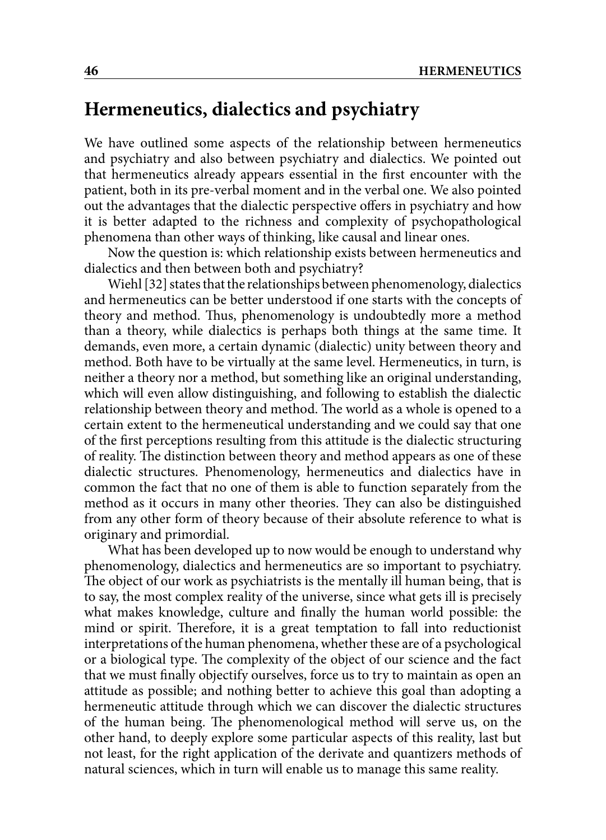### **Hermeneutics, dialectics and psychiatry**

We have outlined some aspects of the relationship between hermeneutics and psychiatry and also between psychiatry and dialectics. We pointed out that hermeneutics already appears essential in the first encounter with the patient, both in its pre-verbal moment and in the verbal one. We also pointed out the advantages that the dialectic perspective offers in psychiatry and how it is better adapted to the richness and complexity of psychopathological phenomena than other ways of thinking, like causal and linear ones.

Now the question is: which relationship exists between hermeneutics and dialectics and then between both and psychiatry?

Wiehl [32] states that the relationships between phenomenology, dialectics and hermeneutics can be better understood if one starts with the concepts of theory and method. Thus, phenomenology is undoubtedly more a method than a theory, while dialectics is perhaps both things at the same time. It demands, even more, a certain dynamic (dialectic) unity between theory and method. Both have to be virtually at the same level. Hermeneutics, in turn, is neither a theory nor a method, but something like an original understanding, which will even allow distinguishing, and following to establish the dialectic relationship between theory and method. The world as a whole is opened to a certain extent to the hermeneutical understanding and we could say that one of the first perceptions resulting from this attitude is the dialectic structuring of reality. The distinction between theory and method appears as one of these dialectic structures. Phenomenology, hermeneutics and dialectics have in common the fact that no one of them is able to function separately from the method as it occurs in many other theories. They can also be distinguished from any other form of theory because of their absolute reference to what is originary and primordial.

What has been developed up to now would be enough to understand why phenomenology, dialectics and hermeneutics are so important to psychiatry. The object of our work as psychiatrists is the mentally ill human being, that is to say, the most complex reality of the universe, since what gets ill is precisely what makes knowledge, culture and finally the human world possible: the mind or spirit. Therefore, it is a great temptation to fall into reductionist interpretations of the human phenomena, whether these are of a psychological or a biological type. The complexity of the object of our science and the fact that we must finally objectify ourselves, force us to try to maintain as open an attitude as possible; and nothing better to achieve this goal than adopting a hermeneutic attitude through which we can discover the dialectic structures of the human being. The phenomenological method will serve us, on the other hand, to deeply explore some particular aspects of this reality, last but not least, for the right application of the derivate and quantizers methods of natural sciences, which in turn will enable us to manage this same reality.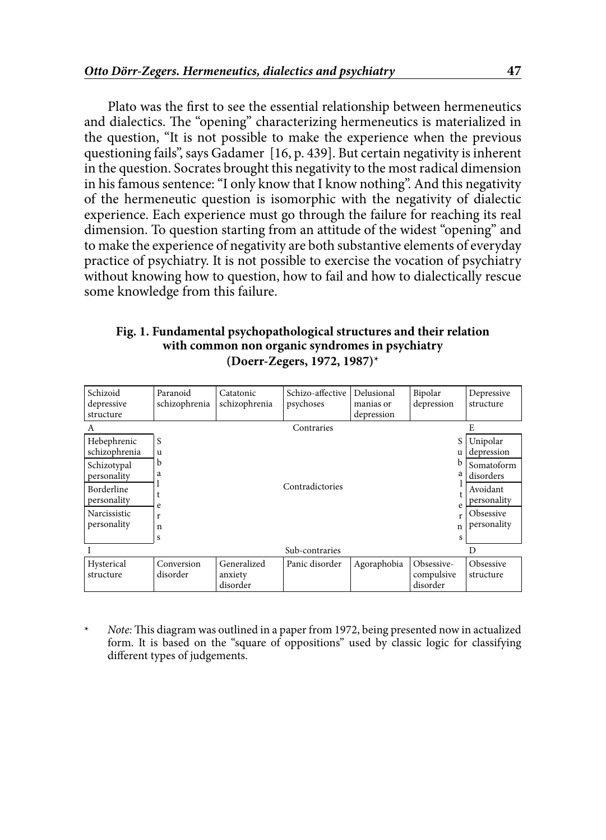Plato was the first to see the essential relationship between hermeneutics and dialectics. The "opening" characterizing hermeneutics is materialized in the question, "It is not possible to make the experience when the previous questioning fails", says Gadamer  $[16, p. 439]$ . But certain negativity is inherent in the question. Socrates brought this negativity to the most radical dimension in his famous sentence: "I only know that I know nothing". And this negativity of the hermeneutic question is isomorphic with the negativity of dialectic experience. Each experience must go through the failure for reaching its real dimension. To question starting from an attitude of the widest "opening" and to make the experience of negativity are both substantive elements of everyday practice of psychiatry. It is not possible to exercise the vocation of psychiatry without knowing how to question, how to fail and how to dialectically rescue some knowledge from this failure.

#### **Fig. 1. Fundamental psychopathological structures and their relation with common non organic syndromes in psychiatry (Doerr-Zegers, 1972, 1987)**\*

| Schizoid<br>depressive<br>structure                                                                                           | Paranoid<br>schizophrenia            | Catatonic<br>schizophrenia         | Schizo-affective<br>psychoses | Delusional<br>manias or<br>depression | Bipolar<br>depression                           | Depressive<br>structure                                                                                  |
|-------------------------------------------------------------------------------------------------------------------------------|--------------------------------------|------------------------------------|-------------------------------|---------------------------------------|-------------------------------------------------|----------------------------------------------------------------------------------------------------------|
| A                                                                                                                             |                                      |                                    | Contraries                    |                                       |                                                 | E                                                                                                        |
| Hebephrenic<br>schizophrenia<br>Schizotypal<br>personality<br><b>Borderline</b><br>personality<br>Narcissistic<br>personality | S<br>u<br>b<br>a<br>e<br>r<br>n<br>S |                                    | Contradictories               |                                       | S<br>u<br>b<br>a<br>e<br>r<br>$\mathsf{n}$<br>s | Unipolar<br>depression<br>Somatoform<br>disorders<br>Avoidant<br>personality<br>Obsessive<br>personality |
|                                                                                                                               |                                      |                                    | Sub-contraries                |                                       |                                                 | D                                                                                                        |
| Hysterical<br>structure                                                                                                       | Conversion<br>disorder               | Generalized<br>anxiety<br>disorder | Panic disorder                | Agoraphobia                           | Obsessive-<br>compulsive<br>disorder            | Obsessive<br>structure                                                                                   |

\* *Note:* This diagram was outlined in a paper from 1972, being presented now in actualized form. It is based on the "square of oppositions" used by classic logic for classifying different types of judgements.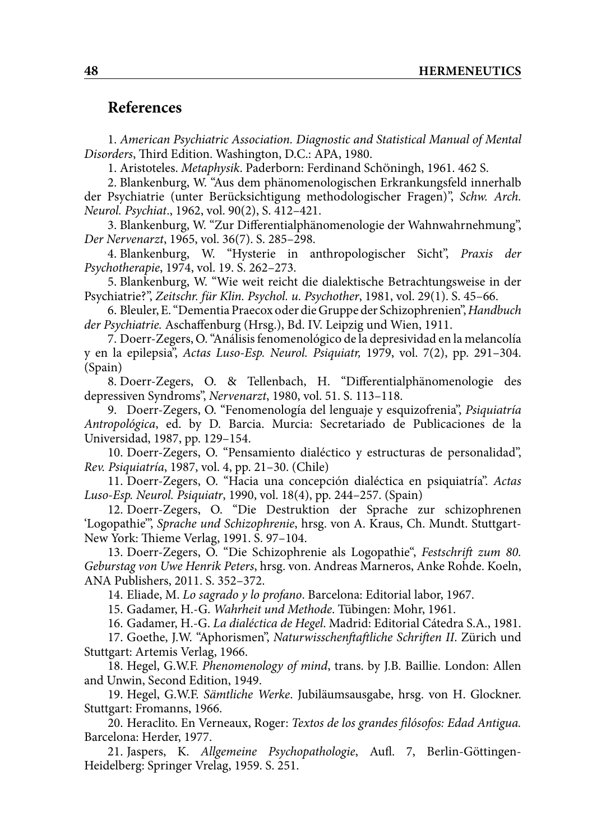#### **References**

1. *American Psychiatric Association. Diagnostic and Statistical Manual of Mental Disorders*, Third Edition. Washington, D.C.: APA, 1980.

1. Aristoteles. *Metaphysik*. Paderborn: Ferdinand SchÖningh, 1961. 462 S.

2. Blankenburg, W. "Aus dem phänomenologischen Erkrankungsfeld innerhalb der Psychiatrie (unter Berücksichtigung methodologischer Fragen)", *Schw. Arch. Neurol. Psychiat*., 1962, vol. 90(2), S. 412–421.

3. Blankenburg, W. "Zur Differentialphänomenologie der Wahnwahrnehmung", *Der Nervenarzt*, 1965, vol. 36(7). S. 285–298.

4. Blankenburg, W. "Hysterie in anthropologischer Sicht", *Praxis der Psychotherapie*, 1974, vol. 19. S. 262–273.

5. Blankenburg, W. "Wie weit reicht die dialektische Betrachtungsweise in der Psychiatrie?", *Zeitschr. für Klin. Psychol. u. Psychother*, 1981, vol. 29(1). S. 45–66.

6. Bleuler, E. "Dementia Praecox oder die Gruppe der Schizophrenien", *Handbuch der Psychiatrie.* Aschaffenburg (Hrsg.), Bd. IV. Leipzig und Wien, 1911.

7. Doerr-Zegers, O. "Análisis fenomenológico de la depresividad en la melancolía y en la epilepsia", *Actas Luso-Esp. Neurol. Psiquiatr,* 1979, vol. 7(2), pp. 291–304. (Spain)

8. Doerr-Zegers, O. & Tellenbach, H. "Differentialphänomenologie des depressiven Syndroms", *Nervenarzt*, 1980, vol. 51. S. 113–118.

9. Doerr-Zegers, O. "Fenomenología del lenguaje y esquizofrenia", *Psiquiatría Antropológica*, ed. by D. Barcia. Murcia: Secretariado de Publicaciones de la Universidad, 1987, pp. 129–154.

10. Doerr-Zegers, O. "Pensamiento dialéctico y estructuras de personalidad", *Rev. Psiquiatría*, 1987, vol. 4, pp. 21–30. (Chile)

11. Doerr-Zegers, O. "Hacia una concepción dialéctica en psiquiatría". *Actas Luso-Esp. Neurol. Psiquiatr*, 1990, vol. 18(4), pp. 244–257. (Spain)

12. Doerr-Zegers, O. "Die Destruktion der Sprache zur schizophrenen 'Logopathie'", *Sprache und Schizophrenie*, hrsg. von A. Kraus, Ch. Mundt. Stuttgart-New York: Thieme Verlag, 1991. S. 97–104.

13. Doerr-Zegers, O. "Die Schizophrenie als Logopathie", *Festschrift zum 80. Geburstag von Uwe Henrik Peters*, hrsg. von. Andreas Marneros, Anke Rohde. Koeln, ANA Publishers, 2011. S. 352–372.

14. Eliade, M. *Lo sagrado y lo profano*. Barcelona: Editorial labor, 1967.

15. Gadamer, H.-G. *Wahrheit und Methode*. Tübingen: Mohr, 1961.

16. Gadamer, H.-G. *La dialéctica de Hegel*. Madrid: Editorial Cátedra S.A., 1981.

17. Goethe, J.W. "Aphorismen", *Naturwisschenftaftliche Schriften II*. Zürich und Stuttgart: Artemis Verlag, 1966.

18. Hegel, G.W.F. *Phenomenology of mind*, trans. by J.B. Baillie. London: Allen and Unwin, Second Edition, 1949.

19. Hegel, G.W.F. *Sämtliche Werke*. Jubiläumsausgabe, hrsg. von H. Glockner. Stuttgart: Fromanns, 1966.

20. Heraclito. En Verneaux, Roger: *Textos de los grandes filósofos: Edad Antigua.* Barcelona: Herder, 1977.

21. Jaspers, K. *Allgemeine Psychopathologie*, Aufl. 7, Berlin-Göttingen-Heidelberg: Springer Vrelag, 1959. S. 251.